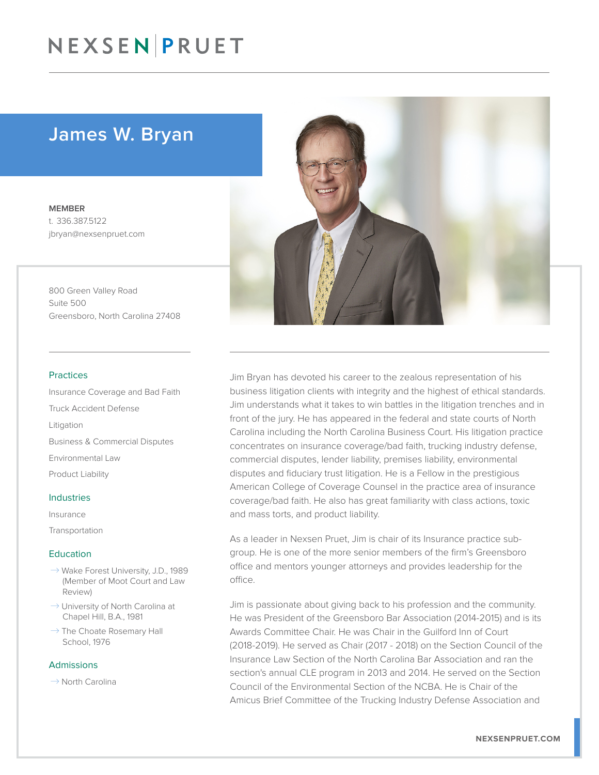### James W. Bryan

MEMBER t. 336.387.5122 jbryan@nexsenpruet.com

800 Green Valley Road Suite 500 Greensboro, North Carolina 27408

#### Practices

Insurance Coverage and Bad Faith Truck Accident Defense Litigation Business & Commercial Disputes Environmental Law Product Liability

#### Industries

Insurance Transportation

#### Education

- $\rightarrow$  Wake Forest University, J.D., 1989 (Member of Moot Court and Law Review)
- $\rightarrow$  University of North Carolina at Chapel Hill, B.A., 1981
- $\rightarrow$  The Choate Rosemary Hall School, 1976

#### Admissions

 $\rightarrow$  North Carolina



Jim Bryan has devoted his career to the zealous representation of his business litigation clients with integrity and the highest of ethical standards. Jim understands what it takes to win battles in the litigation trenches and in front of the jury. He has appeared in the federal and state courts of North Carolina including the North Carolina Business Court. His litigation practice concentrates on insurance coverage/bad faith, trucking industry defense, commercial disputes, lender liability, premises liability, environmental disputes and fiduciary trust litigation. He is a Fellow in the prestigious American College of Coverage Counsel in the practice area of insurance coverage/bad faith. He also has great familiarity with class actions, toxic and mass torts, and product liability.

As a leader in Nexsen Pruet, Jim is chair of its Insurance practice subgroup. He is one of the more senior members of the firm's Greensboro office and mentors younger attorneys and provides leadership for the office.

Jim is passionate about giving back to his profession and the community. He was President of the Greensboro Bar Association (2014-2015) and is its Awards Committee Chair. He was Chair in the Guilford Inn of Court (2018-2019). He served as Chair (2017 - 2018) on the Section Council of the Insurance Law Section of the North Carolina Bar Association and ran the section's annual CLE program in 2013 and 2014. He served on the Section Council of the Environmental Section of the NCBA. He is Chair of the Amicus Brief Committee of the Trucking Industry Defense Association and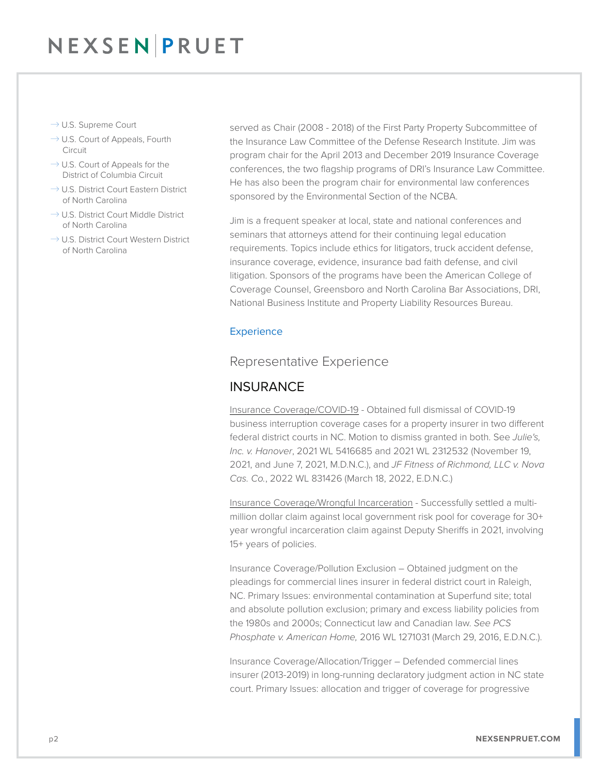- $\rightarrow$  U.S. Supreme Court
- $\rightarrow$  U.S. Court of Appeals, Fourth Circuit
- $\rightarrow$  U.S. Court of Appeals for the District of Columbia Circuit
- $\rightarrow$  U.S. District Court Eastern District of North Carolina
- $\rightarrow$  U.S. District Court Middle District of North Carolina
- $\rightarrow$  U.S. District Court Western District of North Carolina

served as Chair (2008 - 2018) of the First Party Property Subcommittee of the Insurance Law Committee of the Defense Research Institute. Jim was program chair for the April 2013 and December 2019 Insurance Coverage conferences, the two flagship programs of DRI's Insurance Law Committee. He has also been the program chair for environmental law conferences sponsored by the Environmental Section of the NCBA.

Jim is a frequent speaker at local, state and national conferences and seminars that attorneys attend for their continuing legal education requirements. Topics include ethics for litigators, truck accident defense, insurance coverage, evidence, insurance bad faith defense, and civil litigation. Sponsors of the programs have been the American College of Coverage Counsel, Greensboro and North Carolina Bar Associations, DRI, National Business Institute and Property Liability Resources Bureau.

#### **Experience**

### Representative Experience

### **INSURANCE**

Insurance Coverage/COVID-19 - Obtained full dismissal of COVID-19 business interruption coverage cases for a property insurer in two different federal district courts in NC. Motion to dismiss granted in both. See *Julie's, Inc. v. Hanover*, 2021 WL 5416685 and 2021 WL 2312532 (November 19, 2021, and June 7, 2021, M.D.N.C.), and *JF Fitness of Richmond, LLC v. Nova Cas. Co.*, 2022 WL 831426 (March 18, 2022, E.D.N.C.)

Insurance Coverage/Wrongful Incarceration - Successfully settled a multimillion dollar claim against local government risk pool for coverage for 30+ year wrongful incarceration claim against Deputy Sheriffs in 2021, involving 15+ years of policies.

Insurance Coverage/Pollution Exclusion – Obtained judgment on the pleadings for commercial lines insurer in federal district court in Raleigh, NC. Primary Issues: environmental contamination at Superfund site; total and absolute pollution exclusion; primary and excess liability policies from the 1980s and 2000s; Connecticut law and Canadian law. *See PCS Phosphate v. American Home,* 2016 WL 1271031 (March 29, 2016, E.D.N.C.).

Insurance Coverage/Allocation/Trigger – Defended commercial lines insurer (2013-2019) in long-running declaratory judgment action in NC state court. Primary Issues: allocation and trigger of coverage for progressive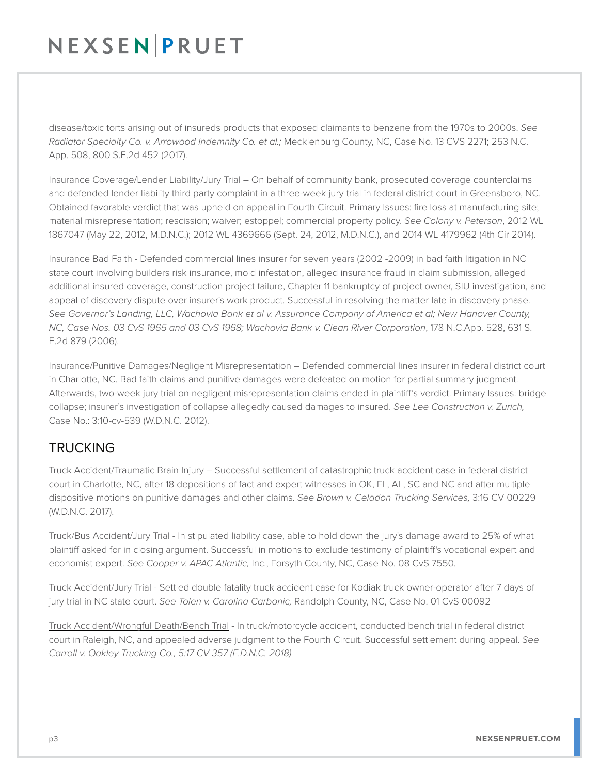disease/toxic torts arising out of insureds products that exposed claimants to benzene from the 1970s to 2000s. *See Radiator Specialty Co. v. Arrowood Indemnity Co. et al.;* Mecklenburg County, NC, Case No. 13 CVS 2271; 253 N.C. App. 508, 800 S.E.2d 452 (2017).

Insurance Coverage/Lender Liability/Jury Trial – On behalf of community bank, prosecuted coverage counterclaims and defended lender liability third party complaint in a three-week jury trial in federal district court in Greensboro, NC. Obtained favorable verdict that was upheld on appeal in Fourth Circuit. Primary Issues: fire loss at manufacturing site; material misrepresentation; rescission; waiver; estoppel; commercial property policy. *See Colony v. Peterson*, 2012 WL 1867047 (May 22, 2012, M.D.N.C.); 2012 WL 4369666 (Sept. 24, 2012, M.D.N.C.), and 2014 WL 4179962 (4th Cir 2014).

Insurance Bad Faith - Defended commercial lines insurer for seven years (2002 -2009) in bad faith litigation in NC state court involving builders risk insurance, mold infestation, alleged insurance fraud in claim submission, alleged additional insured coverage, construction project failure, Chapter 11 bankruptcy of project owner, SIU investigation, and appeal of discovery dispute over insurer's work product. Successful in resolving the matter late in discovery phase. *See Governor's Landing, LLC, Wachovia Bank et al v. Assurance Company of America et al; New Hanover County, NC, Case Nos. 03 CvS 1965 and 03 CvS 1968; Wachovia Bank v. Clean River Corporation*, 178 N.C.App. 528, 631 S. E.2d 879 (2006).

Insurance/Punitive Damages/Negligent Misrepresentation – Defended commercial lines insurer in federal district court in Charlotte, NC. Bad faith claims and punitive damages were defeated on motion for partial summary judgment. Afterwards, two-week jury trial on negligent misrepresentation claims ended in plaintiff's verdict. Primary Issues: bridge collapse; insurer's investigation of collapse allegedly caused damages to insured. *See Lee Construction v. Zurich,* Case No.: 3:10-cv-539 (W.D.N.C. 2012).

### **TRUCKING**

Truck Accident/Traumatic Brain Injury – Successful settlement of catastrophic truck accident case in federal district court in Charlotte, NC, after 18 depositions of fact and expert witnesses in OK, FL, AL, SC and NC and after multiple dispositive motions on punitive damages and other claims. *See Brown v. Celadon Trucking Services,* 3:16 CV 00229 (W.D.N.C. 2017).

Truck/Bus Accident/Jury Trial - In stipulated liability case, able to hold down the jury's damage award to 25% of what plaintiff asked for in closing argument. Successful in motions to exclude testimony of plaintiff's vocational expert and economist expert. *See Cooper v. APAC Atlantic,* Inc., Forsyth County, NC, Case No. 08 CvS 7550.

Truck Accident/Jury Trial - Settled double fatality truck accident case for Kodiak truck owner-operator after 7 days of jury trial in NC state court. *See Tolen v. Carolina Carbonic,* Randolph County, NC, Case No. 01 CvS 00092

Truck Accident/Wrongful Death/Bench Trial - In truck/motorcycle accident, conducted bench trial in federal district court in Raleigh, NC, and appealed adverse judgment to the Fourth Circuit. Successful settlement during appeal. *See Carroll v. Oakley Trucking Co., 5:17 CV 357 (E.D.N.C. 2018)*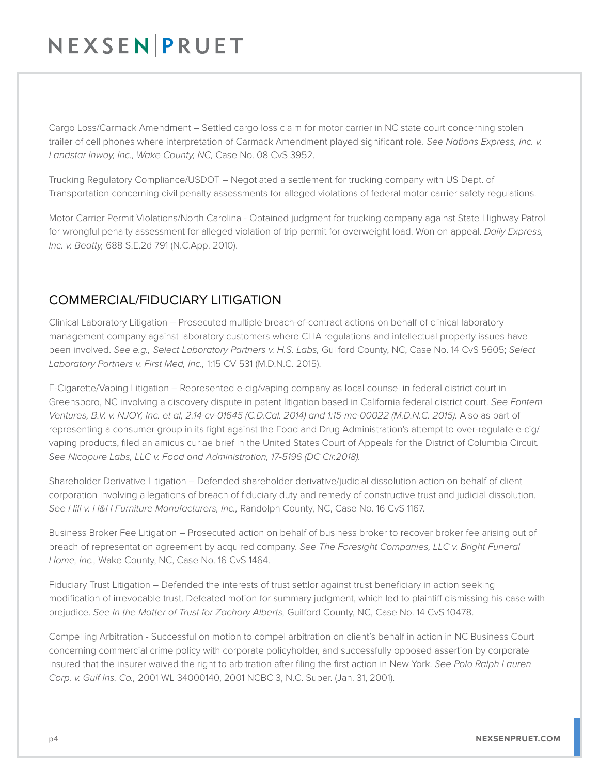Cargo Loss/Carmack Amendment – Settled cargo loss claim for motor carrier in NC state court concerning stolen trailer of cell phones where interpretation of Carmack Amendment played significant role. *See Nations Express, Inc. v. Landstar Inway, Inc., Wake County, NC,* Case No. 08 CvS 3952.

Trucking Regulatory Compliance/USDOT – Negotiated a settlement for trucking company with US Dept. of Transportation concerning civil penalty assessments for alleged violations of federal motor carrier safety regulations.

Motor Carrier Permit Violations/North Carolina - Obtained judgment for trucking company against State Highway Patrol for wrongful penalty assessment for alleged violation of trip permit for overweight load. Won on appeal. *Daily Express, Inc. v. Beatty,* 688 S.E.2d 791 (N.C.App. 2010).

### COMMERCIAL/FIDUCIARY LITIGATION

Clinical Laboratory Litigation – Prosecuted multiple breach-of-contract actions on behalf of clinical laboratory management company against laboratory customers where CLIA regulations and intellectual property issues have been involved. *See e.g., Select Laboratory Partners v. H.S. Labs,* Guilford County, NC, Case No. 14 CvS 5605; *Select Laboratory Partners v. First Med, Inc.,* 1:15 CV 531 (M.D.N.C. 2015).

E-Cigarette/Vaping Litigation – Represented e-cig/vaping company as local counsel in federal district court in Greensboro, NC involving a discovery dispute in patent litigation based in California federal district court. *See Fontem Ventures, B.V. v. NJOY, Inc. et al, 2:14-cv-01645 (C.D.Cal. 2014) and 1:15-mc-00022 (M.D.N.C. 2015).* Also as part of representing a consumer group in its fight against the Food and Drug Administration's attempt to over-regulate e-cig/ vaping products, filed an amicus curiae brief in the United States Court of Appeals for the District of Columbia Circuit. *See Nicopure Labs, LLC v. Food and Administration, 17-5196 (DC Cir.2018).*

Shareholder Derivative Litigation – Defended shareholder derivative/judicial dissolution action on behalf of client corporation involving allegations of breach of fiduciary duty and remedy of constructive trust and judicial dissolution. *See Hill v. H&H Furniture Manufacturers, Inc.,* Randolph County, NC, Case No. 16 CvS 1167.

Business Broker Fee Litigation – Prosecuted action on behalf of business broker to recover broker fee arising out of breach of representation agreement by acquired company. *See The Foresight Companies, LLC v. Bright Funeral Home, Inc.,* Wake County, NC, Case No. 16 CvS 1464.

Fiduciary Trust Litigation – Defended the interests of trust settlor against trust beneficiary in action seeking modification of irrevocable trust. Defeated motion for summary judgment, which led to plaintiff dismissing his case with prejudice. *See In the Matter of Trust for Zachary Alberts,* Guilford County, NC, Case No. 14 CvS 10478.

Compelling Arbitration - Successful on motion to compel arbitration on client's behalf in action in NC Business Court concerning commercial crime policy with corporate policyholder, and successfully opposed assertion by corporate insured that the insurer waived the right to arbitration after filing the first action in New York. *See Polo Ralph Lauren Corp. v. Gulf Ins. Co.,* 2001 WL 34000140, 2001 NCBC 3, N.C. Super. (Jan. 31, 2001).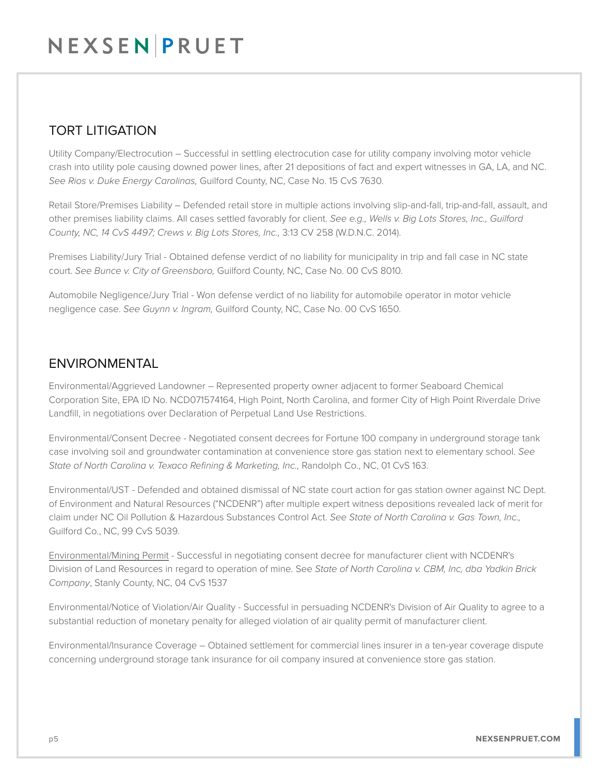### TORT LITIGATION

Utility Company/Electrocution – Successful in settling electrocution case for utility company involving motor vehicle crash into utility pole causing downed power lines, after 21 depositions of fact and expert witnesses in GA, LA, and NC. *See Rios v. Duke Energy Carolinas,* Guilford County, NC, Case No. 15 CvS 7630.

Retail Store/Premises Liability – Defended retail store in multiple actions involving slip-and-fall, trip-and-fall, assault, and other premises liability claims. All cases settled favorably for client. *See e.g., Wells v. Big Lots Stores, Inc., Guilford County, NC, 14 CvS 4497; Crews v. Big Lots Stores, Inc.,* 3:13 CV 258 (W.D.N.C. 2014).

Premises Liability/Jury Trial - Obtained defense verdict of no liability for municipality in trip and fall case in NC state court. *See Bunce v. City of Greensboro,* Guilford County, NC, Case No. 00 CvS 8010.

Automobile Negligence/Jury Trial - Won defense verdict of no liability for automobile operator in motor vehicle negligence case. *See Guynn v. Ingram,* Guilford County, NC, Case No. 00 CvS 1650.

### **ENVIRONMENTAL**

Environmental/Aggrieved Landowner – Represented property owner adjacent to former Seaboard Chemical Corporation Site, EPA ID No. NCD071574164, High Point, North Carolina, and former City of High Point Riverdale Drive Landfill, in negotiations over Declaration of Perpetual Land Use Restrictions.

Environmental/Consent Decree - Negotiated consent decrees for Fortune 100 company in underground storage tank case involving soil and groundwater contamination at convenience store gas station next to elementary school. *See State of North Carolina v. Texaco Refining & Marketing, Inc.,* Randolph Co., NC, 01 CvS 163.

Environmental/UST - Defended and obtained dismissal of NC state court action for gas station owner against NC Dept. of Environment and Natural Resources ("NCDENR") after multiple expert witness depositions revealed lack of merit for claim under NC Oil Pollution & Hazardous Substances Control Act. *See State of North Carolina v. Gas Town, Inc.,* Guilford Co., NC, 99 CvS 5039.

Environmental/Mining Permit - Successful in negotiating consent decree for manufacturer client with NCDENR's Division of Land Resources in regard to operation of mine. See *State of North Carolina v. CBM, Inc, dba Yadkin Brick Company*, Stanly County, NC, 04 CvS 1537

Environmental/Notice of Violation/Air Quality - Successful in persuading NCDENR's Division of Air Quality to agree to a substantial reduction of monetary penalty for alleged violation of air quality permit of manufacturer client.

Environmental/Insurance Coverage – Obtained settlement for commercial lines insurer in a ten-year coverage dispute concerning underground storage tank insurance for oil company insured at convenience store gas station.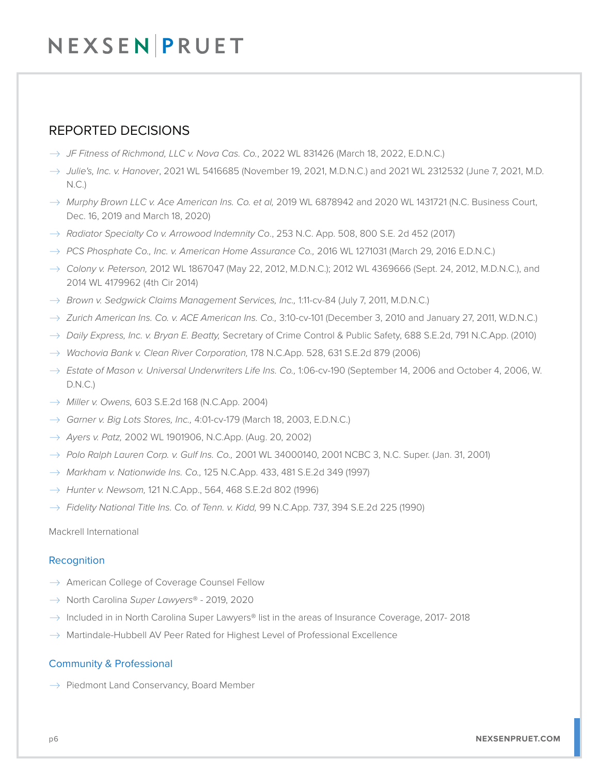### REPORTED DECISIONS

- � *JF Fitness of Richmond, LLC v. Nova Cas. Co.*, 2022 WL 831426 (March 18, 2022, E.D.N.C.)
- � *Julie's, Inc. v. Hanover*, 2021 WL 5416685 (November 19, 2021, M.D.N.C.) and 2021 WL 2312532 (June 7, 2021, M.D.  $N.C.$
- � *Murphy Brown LLC v. Ace American Ins. Co. et al,* 2019 WL 6878942 and 2020 WL 1431721 (N.C. Business Court, Dec. 16, 2019 and March 18, 2020)
- � *Radiator Specialty Co v. Arrowood Indemnity Co*., 253 N.C. App. 508, 800 S.E. 2d 452 (2017)
- → *PCS Phosphate Co., Inc. v. American Home Assurance Co.,* 2016 WL 1271031 (March 29, 2016 E.D.N.C.)
- � *Colony v. Peterson,* 2012 WL 1867047 (May 22, 2012, M.D.N.C.); 2012 WL 4369666 (Sept. 24, 2012, M.D.N.C.), and 2014 WL 4179962 (4th Cir 2014)
- � *Brown v. Sedgwick Claims Management Services, Inc.,* 1:11-cv-84 (July 7, 2011, M.D.N.C.)
- � *Zurich American Ins. Co. v. ACE American Ins. Co.,* 3:10-cv-101 (December 3, 2010 and January 27, 2011, W.D.N.C.)
- � *Daily Express, Inc. v. Bryan E. Beatty,* Secretary of Crime Control & Public Safety, 688 S.E.2d, 791 N.C.App. (2010)
- � *Wachovia Bank v. Clean River Corporation,* 178 N.C.App. 528, 631 S.E.2d 879 (2006)
- � *Estate of Mason v. Universal Underwriters Life Ins. Co.,* 1:06-cv-190 (September 14, 2006 and October 4, 2006, W. D.N.C.)
- � *Miller v. Owens,* 603 S.E.2d 168 (N.C.App. 2004)
- � *Garner v. Big Lots Stores, Inc.,* 4:01-cv-179 (March 18, 2003, E.D.N.C.)
- � *Ayers v. Patz,* 2002 WL 1901906, N.C.App. (Aug. 20, 2002)
- � *Polo Ralph Lauren Corp. v. Gulf Ins. Co.,* 2001 WL 34000140, 2001 NCBC 3, N.C. Super. (Jan. 31, 2001)
- � *Markham v. Nationwide Ins. Co.,* 125 N.C.App. 433, 481 S.E.2d 349 (1997)
- $\rightarrow$  *Hunter v. Newsom,* 121 N.C.App., 564, 468 S.E.2d 802 (1996)
- � *Fidelity National Title Ins. Co. of Tenn. v. Kidd,* 99 N.C.App. 737, 394 S.E.2d 225 (1990)

#### Mackrell International

#### **Recognition**

- $\rightarrow$  American College of Coverage Counsel Fellow
- � North Carolina *Super Lawyers*® 2019, 2020
- $\rightarrow$  Included in in North Carolina Super Lawyers® list in the areas of Insurance Coverage, 2017-2018
- $\rightarrow$  Martindale-Hubbell AV Peer Rated for Highest Level of Professional Excellence

#### Community & Professional

 $\rightarrow$  Piedmont Land Conservancy, Board Member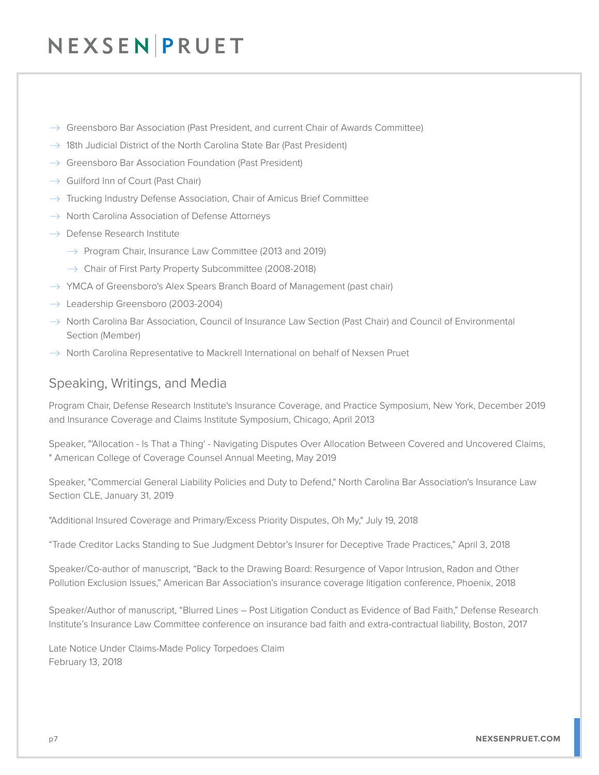- $\rightarrow$  Greensboro Bar Association (Past President, and current Chair of Awards Committee)
- $\rightarrow$  18th Judicial District of the North Carolina State Bar (Past President)
- $\rightarrow$  Greensboro Bar Association Foundation (Past President)
- $\rightarrow$  Guilford Inn of Court (Past Chair)
- $\rightarrow$  Trucking Industry Defense Association, Chair of Amicus Brief Committee
- $\rightarrow$  North Carolina Association of Defense Attorneys
- $\rightarrow$  Defense Research Institute
	- $\rightarrow$  Program Chair, Insurance Law Committee (2013 and 2019)
	- $\rightarrow$  Chair of First Party Property Subcommittee (2008-2018)
- $\rightarrow$  YMCA of Greensboro's Alex Spears Branch Board of Management (past chair)
- $\rightarrow$  Leadership Greensboro (2003-2004)
- $\rightarrow$  North Carolina Bar Association, Council of Insurance Law Section (Past Chair) and Council of Environmental Section (Member)
- $\rightarrow$  North Carolina Representative to Mackrell International on behalf of Nexsen Pruet

### Speaking, Writings, and Media

Program Chair, Defense Research Institute's Insurance Coverage, and Practice Symposium, New York, December 2019 and Insurance Coverage and Claims Institute Symposium, Chicago, April 2013

Speaker, "'Allocation - Is That a Thing' - Navigating Disputes Over Allocation Between Covered and Uncovered Claims, " American College of Coverage Counsel Annual Meeting, May 2019

Speaker, "Commercial General Liability Policies and Duty to Defend," North Carolina Bar Association's Insurance Law Section CLE, January 31, 2019

"Additional Insured Coverage and Primary/Excess Priority Disputes, Oh My," July 19, 2018

"Trade Creditor Lacks Standing to Sue Judgment Debtor's Insurer for Deceptive Trade Practices," April 3, 2018

Speaker/Co-author of manuscript, "Back to the Drawing Board: Resurgence of Vapor Intrusion, Radon and Other Pollution Exclusion Issues," American Bar Association's insurance coverage litigation conference, Phoenix, 2018

Speaker/Author of manuscript, "Blurred Lines – Post Litigation Conduct as Evidence of Bad Faith," Defense Research Institute's Insurance Law Committee conference on insurance bad faith and extra-contractual liability, Boston, 2017

Late Notice Under Claims-Made Policy Torpedoes Claim February 13, 2018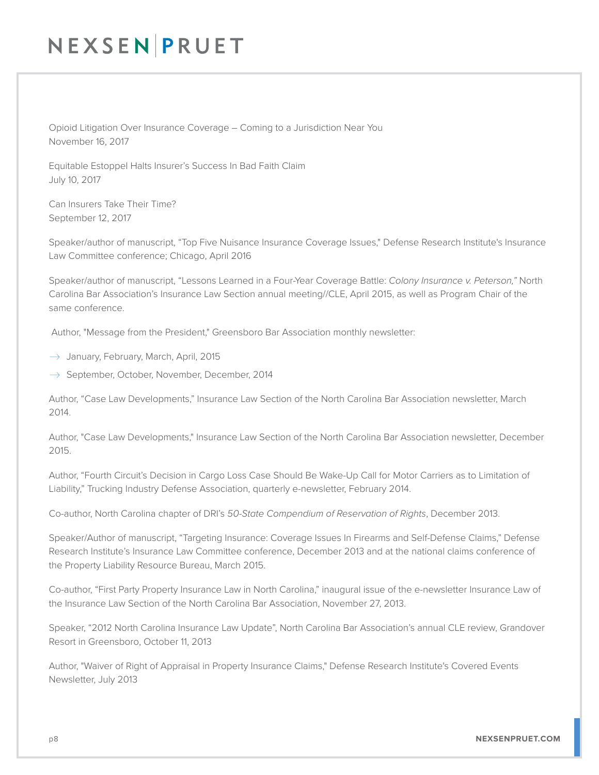Opioid Litigation Over Insurance Coverage – Coming to a Jurisdiction Near You November 16, 2017

Equitable Estoppel Halts Insurer's Success In Bad Faith Claim July 10, 2017

Can Insurers Take Their Time? September 12, 2017

Speaker/author of manuscript, "Top Five Nuisance Insurance Coverage Issues," Defense Research Institute's Insurance Law Committee conference; Chicago, April 2016

Speaker/author of manuscript, "Lessons Learned in a Four-Year Coverage Battle: *Colony Insurance v. Peterson,"* North Carolina Bar Association's Insurance Law Section annual meeting//CLE, April 2015, as well as Program Chair of the same conference.

Author, "Message from the President," Greensboro Bar Association monthly newsletter:

- $\rightarrow$  January, February, March, April, 2015
- $\rightarrow$  September, October, November, December, 2014

Author, "Case Law Developments," Insurance Law Section of the North Carolina Bar Association newsletter, March 2014.

Author, "Case Law Developments," Insurance Law Section of the North Carolina Bar Association newsletter, December 2015.

Author, "Fourth Circuit's Decision in Cargo Loss Case Should Be Wake-Up Call for Motor Carriers as to Limitation of Liability," Trucking Industry Defense Association, quarterly e-newsletter, February 2014.

Co-author, North Carolina chapter of DRI's *50-State Compendium of Reservation of Rights*, December 2013.

Speaker/Author of manuscript, "Targeting Insurance: Coverage Issues In Firearms and Self-Defense Claims," Defense Research Institute's Insurance Law Committee conference, December 2013 and at the national claims conference of the Property Liability Resource Bureau, March 2015.

Co-author, "First Party Property Insurance Law in North Carolina," inaugural issue of the e-newsletter Insurance Law of the Insurance Law Section of the North Carolina Bar Association, November 27, 2013.

Speaker, "2012 North Carolina Insurance Law Update", North Carolina Bar Association's annual CLE review, Grandover Resort in Greensboro, October 11, 2013

Author, "Waiver of Right of Appraisal in Property Insurance Claims," Defense Research Institute's Covered Events Newsletter, July 2013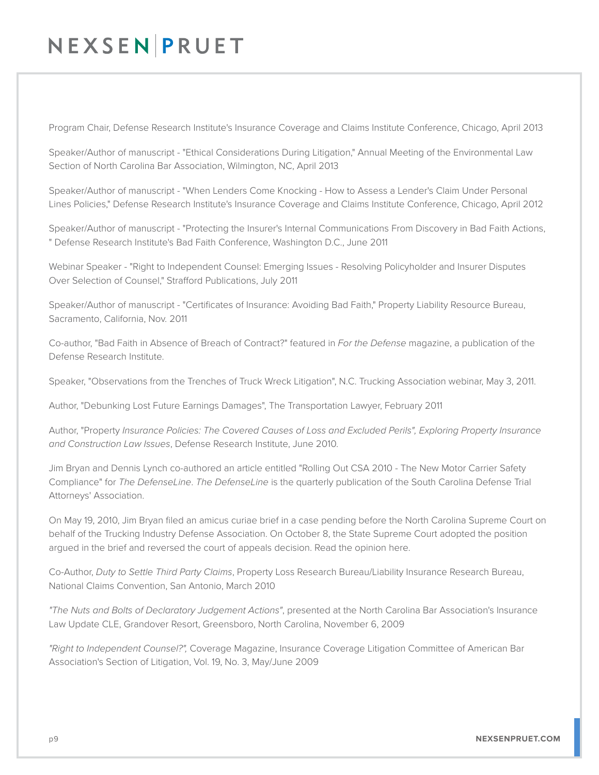Program Chair, Defense Research Institute's Insurance Coverage and Claims Institute Conference, Chicago, April 2013

Speaker/Author of manuscript - "Ethical Considerations During Litigation," Annual Meeting of the Environmental Law Section of North Carolina Bar Association, Wilmington, NC, April 2013

Speaker/Author of manuscript - "When Lenders Come Knocking - How to Assess a Lender's Claim Under Personal Lines Policies," Defense Research Institute's Insurance Coverage and Claims Institute Conference, Chicago, April 2012

Speaker/Author of manuscript - "Protecting the Insurer's Internal Communications From Discovery in Bad Faith Actions, " Defense Research Institute's Bad Faith Conference, Washington D.C., June 2011

Webinar Speaker - "Right to Independent Counsel: Emerging Issues - Resolving Policyholder and Insurer Disputes Over Selection of Counsel," Strafford Publications, July 2011

Speaker/Author of manuscript - "Certificates of Insurance: Avoiding Bad Faith," Property Liability Resource Bureau, Sacramento, California, Nov. 2011

Co-author, "Bad Faith in Absence of Breach of Contract?" featured in *For the Defense* magazine, a publication of the Defense Research Institute.

Speaker, "Observations from the Trenches of Truck Wreck Litigation", N.C. Trucking Association webinar, May 3, 2011.

Author, "Debunking Lost Future Earnings Damages", The Transportation Lawyer, February 2011

Author, "Property *Insurance Policies: The Covered Causes of Loss and Excluded Perils", Exploring Property Insurance and Construction Law Issues*, Defense Research Institute, June 2010.

Jim Bryan and Dennis Lynch co-authored an article entitled "Rolling Out CSA 2010 - The New Motor Carrier Safety Compliance" for *The DefenseLine*. *The DefenseLine* is the quarterly publication of the South Carolina Defense Trial Attorneys' Association.

On May 19, 2010, Jim Bryan filed an amicus curiae brief in a case pending before the North Carolina Supreme Court on behalf of the Trucking Industry Defense Association. On October 8, the State Supreme Court adopted the position argued in the brief and reversed the court of appeals decision. Read the opinion here.

Co-Author, *Duty to Settle Third Party Claims*, Property Loss Research Bureau/Liability Insurance Research Bureau, National Claims Convention, San Antonio, March 2010

*"The Nuts and Bolts of Declaratory Judgement Actions"*, presented at the North Carolina Bar Association's Insurance Law Update CLE, Grandover Resort, Greensboro, North Carolina, November 6, 2009

*"Right to Independent Counsel?",* Coverage Magazine, Insurance Coverage Litigation Committee of American Bar Association's Section of Litigation, Vol. 19, No. 3, May/June 2009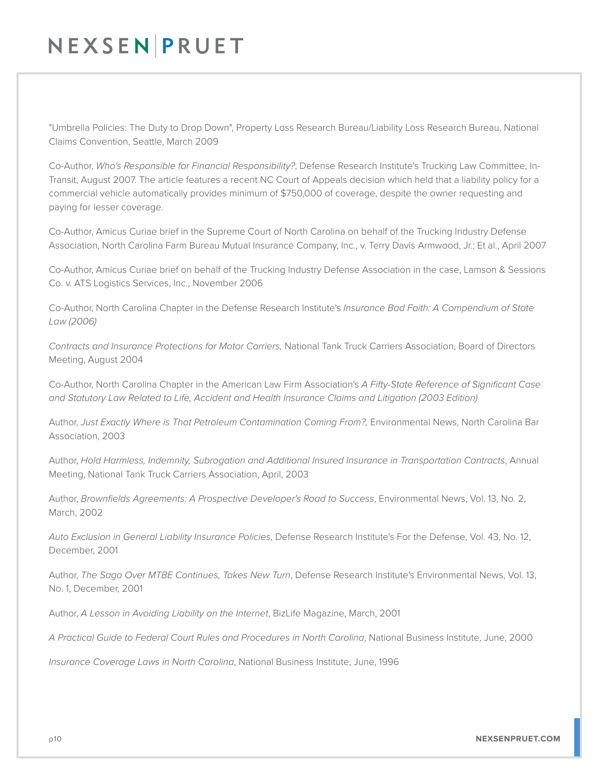"Umbrella Policies: The Duty to Drop Down", Property Loss Research Bureau/Liability Loss Research Bureau, National Claims Convention, Seattle, March 2009

Co-Author, *Who's Responsible for Financial Responsibility?*, Defense Research Institute's Trucking Law Committee, In-Transit, August 2007. The article features a recent NC Court of Appeals decision which held that a liability policy for a commercial vehicle automatically provides minimum of \$750,000 of coverage, despite the owner requesting and paying for lesser coverage.

Co-Author, Amicus Curiae brief in the Supreme Court of North Carolina on behalf of the Trucking Industry Defense Association, North Carolina Farm Bureau Mutual Insurance Company, Inc., v. Terry Davis Armwood, Jr.; Et al., April 2007

Co-Author, Amicus Curiae brief on behalf of the Trucking Industry Defense Association in the case, Lamson & Sessions Co. v. ATS Logistics Services, Inc., November 2006

Co-Author, North Carolina Chapter in the Defense Research Institute's *Insurance Bad Faith: A Compendium of State Law (2006)* 

*Contracts and Insurance Protections for Motor Carriers,* National Tank Truck Carriers Association, Board of Directors Meeting, August 2004

Co-Author, North Carolina Chapter in the American Law Firm Association's *A Fifty-State Reference of Significant Case and Statutory Law Related to Life, Accident and Health Insurance Claims and Litigation (2003 Edition)*

Author, *Just Exactly Where is That Petroleum Contamination Coming From?,* Environmental News, North Carolina Bar Association, 2003

Author, *Hold Harmless, Indemnity, Subrogation and Additional Insured Insurance in Transportation Contracts*, Annual Meeting, National Tank Truck Carriers Association, April, 2003

Author, *Brownfields Agreements: A Prospective Developer's Road to Success*, Environmental News, Vol. 13, No. 2, March, 2002

*Auto Exclusion in General Liability Insurance Policies*, Defense Research Institute's For the Defense, Vol. 43, No. 12, December, 2001

Author, *The Saga Over MTBE Continues, Takes New Turn*, Defense Research Institute's Environmental News, Vol. 13, No. 1, December, 2001

Author, *A Lesson in Avoiding Liability on the Internet*, BizLife Magazine, March, 2001

*A Practical Guide to Federal Court Rules and Procedures in North Carolina*, National Business Institute, June, 2000

*Insurance Coverage Laws in North Carolina*, National Business Institute, June, 1996